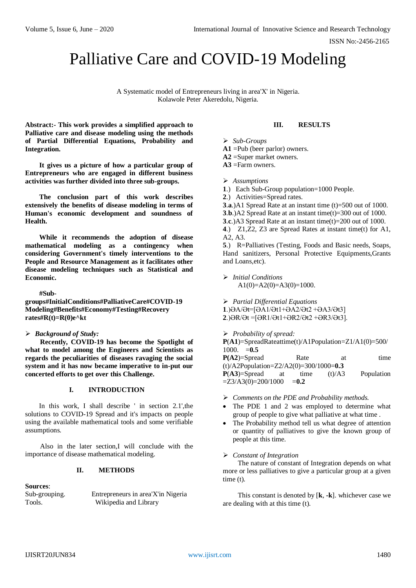ISSN No:-2456-2165

# Palliative Care and COVID-19 Modeling

A Systematic model of Entrepreneurs living in area'X' in Nigeria. Kolawole Peter Akeredolu, Nigeria.

**Abstract:- This work provides a simplified approach to Palliative care and disease modeling using the methods of Partial Differential Equations, Probability and Integration.**

**It gives us a picture of how a particular group of Entrepreneurs who are engaged in different business activities was further divided into three sub-groups.**

**The conclusion part of this work describes extensively the benefits of disease modeling in terms of Human's economic development and soundness of Health.**

**While it recommends the adoption of disease mathematical modeling as a contingency when considering Government's timely interventions to the People and Resource Management as it facilitates other disease modeling techniques such as Statistical and Economic.**

**#Sub-**

**groups#InitialConditions#PalliativeCare#COVID-19 Modeling#Benefits#Economy#Testing#Recovery rates#R(t)=R(0)e^kt**

# *Background of Study:*

**Recently, COVID-19 has become the Spotlight of what to model among the Engineers and Scientists as regards the peculiarities of diseases ravaging the social system and it has now became imperative to in-put our concerted efforts to get over this Challenge.**

# **I. INTRODUCTION**

In this work, I shall describe ' in section 2.1',the solutions to COVID-19 Spread and it's impacts on people using the available mathematical tools and some verifiable assumptions.

Also in the later section,I will conclude with the importance of disease mathematical modeling.

### **II. METHODS**

**Sources**:

Sub-grouping. Entrepreneurs in area'X'in Nigeria Tools. Wikipedia and Library

## **III. RESULTS**

*Sub-Groups* 

**A1** =Pub (beer parlor) owners.

**A2** =Super market owners.

**A3** =Farm owners.

*Assumptions*

**1**.) Each Sub-Group population=1000 People.

**2**.) Activities=Spread rates.

.**a**.)A1 Spread Rate at an instant time (t)=500 out of 1000. .**b**.)A2 Spread Rate at an instant time(t)=300 out of 1000. .**c**.)A3 Spread Rate at an instant time(t)=200 out of 1000. .) Z1,Z2, Z3 are Spread Rates at instant time(t) for A1, A2, A3.

**5**.) R=Palliatives (Testing, Foods and Basic needs, Soaps, Hand sanitizers, Personal Protective Equipments,Grants and Loans,etc).

 *Initial Conditions*  $A1(0)=A2(0)=A3(0)=1000.$ 

*Partial Differential Equations*

**1**.)ӘA/Әt=[ӘA1/Әt1+ӘA2/Әt2 +ӘA3/Әt3] **2**.)ӘR/Әt =[ӘR1/Әt1+ӘR2/Әt2 +ӘR3/Әt3].

*Probability of spread:* 

**P**(**A1**)=SpreadRateattime(t)/A1Population=Z1/A1(0)=500/ 1000. =**0.5 P(A2)**=Spread Rate at time (t)/A2Population=Z2/A2(0)=300/1000=**0.3 P**(**A3**)=Spread at time (t)/A3 Population  $=$ Z3/A3(0)=200/1000  $=$ **0.2** 

- *Comments on the PDE and Probability methods.*
- The PDE 1 and 2 was employed to determine what group of people to give what palliative at what time .
- The Probability method tell us what degree of attention or quantity of palliatives to give the known group of people at this time.

#### *Constant of Integration*

The nature of constant of Integration depends on what more or less palliatives to give a particular group at a given time (t).

This constant is denoted by [**k**, **-k**]. whichever case we are dealing with at this time (t).